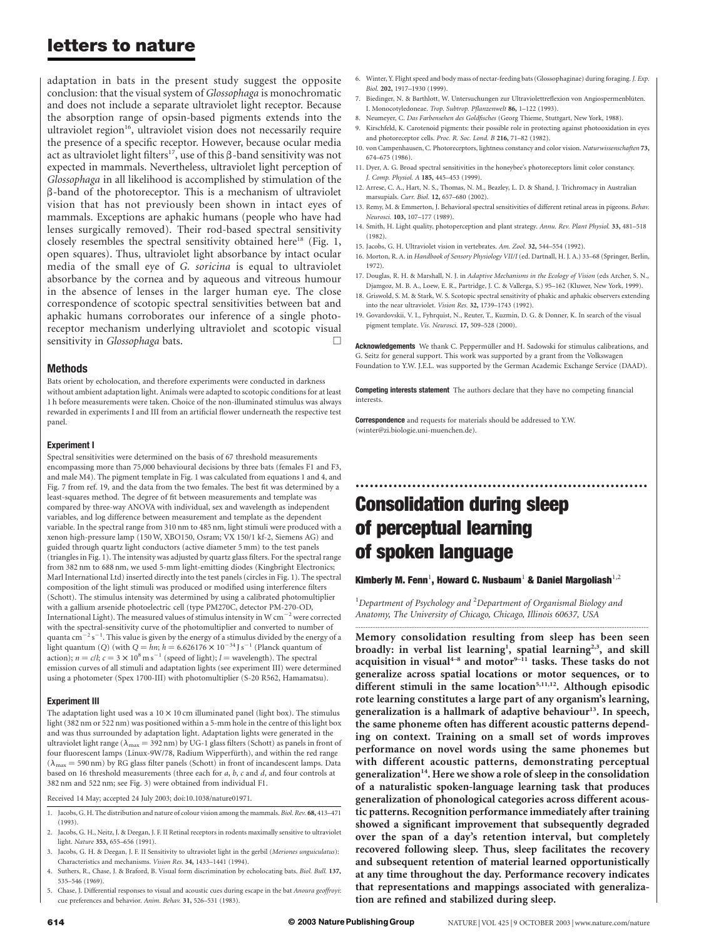## letters to nature

adaptation in bats in the present study suggest the opposite conclusion: that the visual system of Glossophaga is monochromatic and does not include a separate ultraviolet light receptor. Because the absorption range of opsin-based pigments extends into the ultraviolet region<sup>16</sup>, ultraviolet vision does not necessarily require the presence of a specific receptor. However, because ocular media act as ultraviolet light filters<sup>17</sup>, use of this  $\beta$ -band sensitivity was not expected in mammals. Nevertheless, ultraviolet light perception of Glossophaga in all likelihood is accomplished by stimulation of the  $\beta$ -band of the photoreceptor. This is a mechanism of ultraviolet vision that has not previously been shown in intact eyes of mammals. Exceptions are aphakic humans (people who have had lenses surgically removed). Their rod-based spectral sensitivity closely resembles the spectral sensitivity obtained here<sup>18</sup> (Fig. 1, open squares). Thus, ultraviolet light absorbance by intact ocular media of the small eye of G. soricina is equal to ultraviolet absorbance by the cornea and by aqueous and vitreous humour in the absence of lenses in the larger human eye. The close correspondence of scotopic spectral sensitivities between bat and aphakic humans corroborates our inference of a single photoreceptor mechanism underlying ultraviolet and scotopic visual sensitivity in Glossophaga bats.

### Methods

Bats orient by echolocation, and therefore experiments were conducted in darkness without ambient adaptation light. Animals were adapted to scotopic conditions for at least 1 h before measurements were taken. Choice of the non-illuminated stimulus was always rewarded in experiments I and III from an artificial flower underneath the respective test panel.

#### Experiment I

Spectral sensitivities were determined on the basis of 67 threshold measurements encompassing more than 75,000 behavioural decisions by three bats (females F1 and F3, and male M4). The pigment template in Fig. 1 was calculated from equations 1 and 4, and Fig. 7 from ref. 19, and the data from the two females. The best fit was determined by a least-squares method. The degree of fit between measurements and template was compared by three-way ANOVA with individual, sex and wavelength as independent variables, and log difference between measurement and template as the dependent variable. In the spectral range from 310 nm to 485 nm, light stimuli were produced with a xenon high-pressure lamp (150 W, XBO150, Osram; VX 150/1 kf-2, Siemens AG) and guided through quartz light conductors (active diameter 5 mm) to the test panels (triangles in Fig. 1). The intensity was adjusted by quartz glass filters. For the spectral range from 382 nm to 688 nm, we used 5-mm light-emitting diodes (Kingbright Electronics; Marl International Ltd) inserted directly into the test panels (circles in Fig. 1). The spectral composition of the light stimuli was produced or modified using interference filters (Schott). The stimulus intensity was determined by using a calibrated photomultiplier with a gallium arsenide photoelectric cell (type PM270C, detector PM-270-OD, International Light). The measured values of stimulus intensity in W  $\rm cm^{-2}$  were corrected with the spectral-sensitivity curve of the photomultiplier and converted to number of quanta  $\mathrm{cm}^{-2}\,\mathrm{s}^{-1}.$  This value is given by the energy of a stimulus divided by the energy of a light quantum (Q) (with  $Q = hn$ ;  $h = 6.626176 \times 10^{-34}$  J s<sup>-1</sup> (Planck quantum of action);  $n = c/l$ ;  $c = 3 \times 10^8 \text{ m s}^{-1}$  (speed of light);  $l =$  wavelength). The spectral emission curves of all stimuli and adaptation lights (see experiment III) were determined using a photometer (Spex 1700-III) with photomultiplier (S-20 R562, Hamamatsu).

### Experiment III

The adaptation light used was a 10  $\times$  10 cm illuminated panel (light box). The stimulus light (382 nm or 522 nm) was positioned within a 5-mm hole in the centre of this light box and was thus surrounded by adaptation light. Adaptation lights were generated in the ultraviolet light range ( $\lambda_{\rm max}$  = 392 nm) by UG-1 glass filters (Schott) as panels in front of four fluorescent lamps (Linux-9W/78, Radium Wipperfürth), and within the red range  $(\lambda_{\text{max}} = 590 \text{ nm})$  by RG glass filter panels (Schott) in front of incandescent lamps. Data based on 16 threshold measurements (three each for a, b, c and d, and four controls at 382 nm and 522 nm; see Fig. 3) were obtained from individual F1.

Received 14 May; accepted 24 July 2003; doi:10.1038/nature01971.

- 1. Jacobs, G. H. The distribution and nature of colour vision among the mammals. Biol. Rev. 68, 413–471 (1993).
- 2. Jacobs, G. H., Neitz, J. & Deegan, J. F. II Retinal receptors in rodents maximally sensitive to ultraviolet light. Nature 353, 655–656 (1991).
- 3. Jacobs, G. H. & Deegan, J. F. II Sensitivity to ultraviolet light in the gerbil (Meriones unguiculatus): Characteristics and mechanisms. Vision Res. 34, 1433–1441 (1994).
- 4. Suthers, R., Chase, J. & Braford, B. Visual form discrimination by echolocating bats. Biol. Bull. 137, 535–546 (1969).
- 5. Chase, J. Differential responses to visual and acoustic cues during escape in the bat Anoura geoffroyi: cue preferences and behavior. Anim. Behav. 31, 526–531 (1983).
- 6. Winter, Y. Flight speed and body mass of nectar-feeding bats (Glossophaginae) during foraging. J. Exp. Biol. 202, 1917–1930 (1999).
- 7. Biedinger, N. & Barthlott, W. Untersuchungen zur Ultraviolettreflexion von Angiospermenblüten. I. Monocotyledoneae. Trop. Subtrop. Pflanzenwelt 86, 1–122 (1993).
- 8. Neumeyer, C. Das Farbensehen des Goldfisches (Georg Thieme, Stuttgart, New York, 1988).
- 9. Kirschfeld, K. Carotenoid pigments: their possible role in protecting against photooxidation in eyes and photoreceptor cells. Proc. R. Soc. Lond. B 216, 71–82 (1982).
- 10. von Campenhausen, C. Photoreceptors, lightness constancy and color vision. Naturwissenschaften 73, 674–675 (1986).
- 11. Dyer, A. G. Broad spectral sensitivities in the honeybee's photoreceptors limit color constancy. J. Comp. Physiol. A 185, 445–453 (1999).
- 12. Arrese, C. A., Hart, N. S., Thomas, N. M., Beazley, L. D. & Shand, J. Trichromacy in Australian marsupials. Curr. Biol. 12, 657–680 (2002).
- 13. Remy, M. & Emmerton, J. Behavioral spectral sensitivities of different retinal areas in pigeons. Behav. Neurosci. 103, 107–177 (1989).
- 14. Smith, H. Light quality, photoperception and plant strategy. Annu. Rev. Plant Physiol. 33, 481–518 (1982).
- 15. Jacobs, G. H. Ultraviolet vision in vertebrates. Am. Zool. 32, 544–554 (1992).
- 16. Morton, R. A. in Handbook of Sensory Physiology VII/I (ed. Dartnall, H. J. A.) 33–68 (Springer, Berlin, 1972).
- 17. Douglas, R. H. & Marshall, N. J. in Adaptive Mechanisms in the Ecology of Vision (eds Archer, S. N., Djamgoz, M. B. A., Loew, E. R., Partridge, J. C. & Vallerga, S.) 95–162 (Kluwer, New York, 1999).
- 18. Griswold, S. M. & Stark, W. S. Scotopic spectral sensitivity of phakic and aphakic observers extending into the near ultraviolet. Vision Res. 32, 1739–1743 (1992).
- 19. Govardovskii, V. I., Fyhrquist, N., Reuter, T., Kuzmin, D. G. & Donner, K. In search of the visual pigment template. Vis. Neurosci. 17, 509–528 (2000).

Acknowledgements We thank C. Peppermüller and H. Sadowski for stimulus calibrations, and G. Seitz for general support. This work was supported by a grant from the Volkswagen Foundation to Y.W. J.E.L. was supported by the German Academic Exchange Service (DAAD).

Competing interests statement The authors declare that they have no competing financial interests.

..............................................................

**Correspondence** and requests for materials should be addressed to Y.W. (winter@zi.biologie.uni-muenchen.de).

# Consolidation during sleep of perceptual learning of spoken language

### Kimberly M. Fenn $^{\rm l}$ , Howard C. Nusbaum $^{\rm l}$  & Daniel Margoliash $^{\rm l,2}$

<sup>1</sup>Department of Psychology and <sup>2</sup>Department of Organismal Biology and Anatomy, The University of Chicago, Chicago, Illinois 60637, USA

.............................................................................................................................................................................

Memory consolidation resulting from sleep has been seen broadly: in verbal list learning<sup>1</sup>, spatial learning<sup>2,3</sup>, and skill acquisition in visual<sup>4-8</sup> and motor<sup>9-11</sup> tasks. These tasks do not generalize across spatial locations or motor sequences, or to different stimuli in the same location<sup>5,11,12</sup>. Although episodic rote learning constitutes a large part of any organism's learning, generalization is a hallmark of adaptive behaviour<sup>13</sup>. In speech, the same phoneme often has different acoustic patterns depending on context. Training on a small set of words improves performance on novel words using the same phonemes but with different acoustic patterns, demonstrating perceptual generalization<sup>14</sup>. Here we show a role of sleep in the consolidation of a naturalistic spoken-language learning task that produces generalization of phonological categories across different acoustic patterns. Recognition performance immediately after training showed a significant improvement that subsequently degraded over the span of a day's retention interval, but completely recovered following sleep. Thus, sleep facilitates the recovery and subsequent retention of material learned opportunistically at any time throughout the day. Performance recovery indicates that representations and mappings associated with generalization are refined and stabilized during sleep.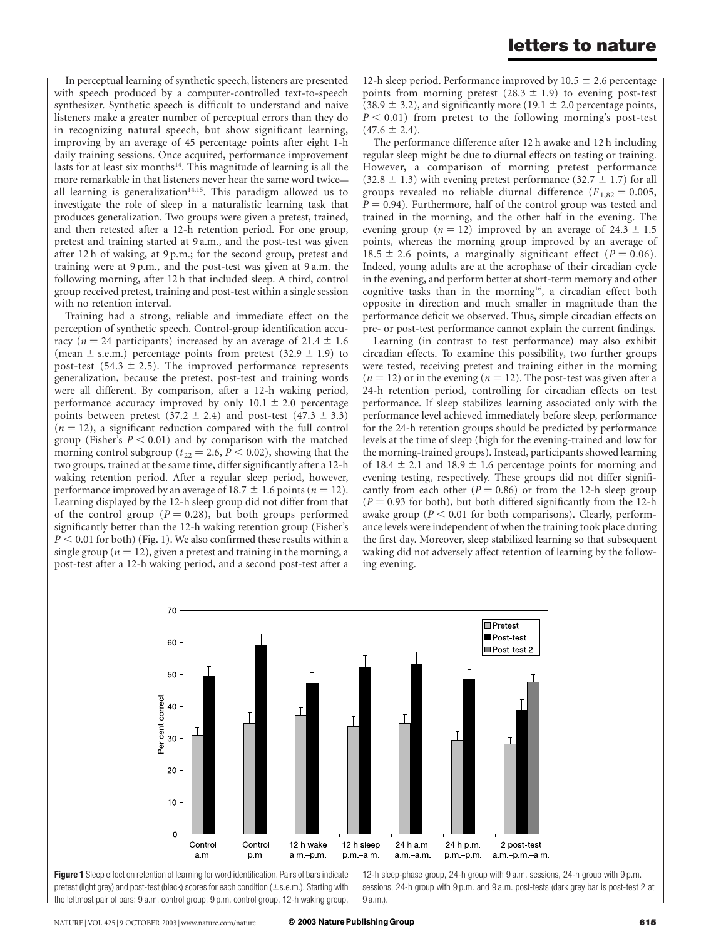In perceptual learning of synthetic speech, listeners are presented with speech produced by a computer-controlled text-to-speech synthesizer. Synthetic speech is difficult to understand and naive listeners make a greater number of perceptual errors than they do in recognizing natural speech, but show significant learning, improving by an average of 45 percentage points after eight 1-h daily training sessions. Once acquired, performance improvement lasts for at least six months<sup>14</sup>. This magnitude of learning is all the more remarkable in that listeners never hear the same word twice all learning is generalization $14,15$ . This paradigm allowed us to investigate the role of sleep in a naturalistic learning task that produces generalization. Two groups were given a pretest, trained, and then retested after a 12-h retention period. For one group, pretest and training started at 9 a.m., and the post-test was given after 12 h of waking, at 9 p.m.; for the second group, pretest and training were at 9 p.m., and the post-test was given at 9 a.m. the following morning, after 12 h that included sleep. A third, control group received pretest, training and post-test within a single session with no retention interval.

Training had a strong, reliable and immediate effect on the perception of synthetic speech. Control-group identification accuracy ( $n = 24$  participants) increased by an average of  $21.4 \pm 1.6$ (mean  $\pm$  s.e.m.) percentage points from pretest (32.9  $\pm$  1.9) to post-test (54.3  $\pm$  2.5). The improved performance represents generalization, because the pretest, post-test and training words were all different. By comparison, after a 12-h waking period, performance accuracy improved by only  $10.1 \pm 2.0$  percentage points between pretest (37.2  $\pm$  2.4) and post-test (47.3  $\pm$  3.3)  $(n = 12)$ , a significant reduction compared with the full control group (Fisher's  $P < 0.01$ ) and by comparison with the matched morning control subgroup ( $t_{22} = 2.6$ ,  $P < 0.02$ ), showing that the two groups, trained at the same time, differ significantly after a 12-h waking retention period. After a regular sleep period, however, performance improved by an average of 18.7  $\pm$  1.6 points (n = 12). Learning displayed by the 12-h sleep group did not differ from that of the control group ( $P = 0.28$ ), but both groups performed significantly better than the 12-h waking retention group (Fisher's  $P < 0.01$  for both) (Fig. 1). We also confirmed these results within a single group ( $n = 12$ ), given a pretest and training in the morning, a post-test after a 12-h waking period, and a second post-test after a

12-h sleep period. Performance improved by 10.5  $\pm$  2.6 percentage points from morning pretest  $(28.3 \pm 1.9)$  to evening post-test (38.9  $\pm$  3.2), and significantly more (19.1  $\pm$  2.0 percentage points,  $P < 0.01$ ) from pretest to the following morning's post-test  $(47.6 \pm 2.4).$ 

The performance difference after 12 h awake and 12 h including regular sleep might be due to diurnal effects on testing or training. However, a comparison of morning pretest performance  $(32.8 \pm 1.3)$  with evening pretest performance  $(32.7 \pm 1.7)$  for all groups revealed no reliable diurnal difference ( $F_{1,82} = 0.005$ ,  $P = 0.94$ ). Furthermore, half of the control group was tested and trained in the morning, and the other half in the evening. The evening group ( $n = 12$ ) improved by an average of 24.3  $\pm$  1.5 points, whereas the morning group improved by an average of 18.5  $\pm$  2.6 points, a marginally significant effect (P = 0.06). Indeed, young adults are at the acrophase of their circadian cycle in the evening, and perform better at short-term memory and other cognitive tasks than in the morning<sup>16</sup>, a circadian effect both opposite in direction and much smaller in magnitude than the performance deficit we observed. Thus, simple circadian effects on pre- or post-test performance cannot explain the current findings.

Learning (in contrast to test performance) may also exhibit circadian effects. To examine this possibility, two further groups were tested, receiving pretest and training either in the morning  $(n = 12)$  or in the evening  $(n = 12)$ . The post-test was given after a 24-h retention period, controlling for circadian effects on test performance. If sleep stabilizes learning associated only with the performance level achieved immediately before sleep, performance for the 24-h retention groups should be predicted by performance levels at the time of sleep (high for the evening-trained and low for the morning-trained groups). Instead, participants showed learning of 18.4  $\pm$  2.1 and 18.9  $\pm$  1.6 percentage points for morning and evening testing, respectively. These groups did not differ significantly from each other ( $P = 0.86$ ) or from the 12-h sleep group  $(P = 0.93$  for both), but both differed significantly from the 12-h awake group ( $P < 0.01$  for both comparisons). Clearly, performance levels were independent of when the training took place during the first day. Moreover, sleep stabilized learning so that subsequent waking did not adversely affect retention of learning by the following evening.



Figure 1 Sleep effect on retention of learning for word identification. Pairs of bars indicate pretest (light grey) and post-test (black) scores for each condition  $(\pm s.e.m.)$ . Starting with the leftmost pair of bars: 9 a.m. control group, 9 p.m. control group, 12-h waking group,

12-h sleep-phase group, 24-h group with 9 a.m. sessions, 24-h group with 9 p.m. sessions, 24-h group with 9 p.m. and 9 a.m. post-tests (dark grey bar is post-test 2 at  $9a \text{ m}$